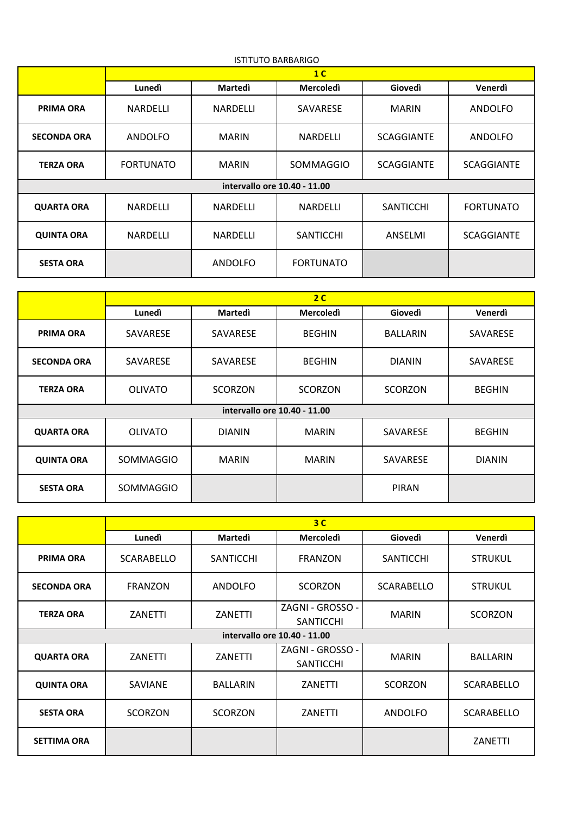| <b>ISTITUTO BARBARIGO</b>    |                  |                 |                  |                   |                   |  |
|------------------------------|------------------|-----------------|------------------|-------------------|-------------------|--|
|                              | 1 <sup>C</sup>   |                 |                  |                   |                   |  |
|                              | Lunedì           | <b>Martedi</b>  | <b>Mercoledì</b> | Giovedì           | Venerdì           |  |
| <b>PRIMA ORA</b>             | <b>NARDELLI</b>  | <b>NARDELLI</b> | <b>SAVARESE</b>  | <b>MARIN</b>      | ANDOLFO           |  |
| <b>SECONDA ORA</b>           | ANDOLFO          | <b>MARIN</b>    | <b>NARDELLI</b>  | <b>SCAGGIANTE</b> | ANDOLFO           |  |
| <b>TERZA ORA</b>             | <b>FORTUNATO</b> | <b>MARIN</b>    | <b>SOMMAGGIO</b> | <b>SCAGGIANTE</b> | <b>SCAGGIANTE</b> |  |
| intervallo ore 10.40 - 11.00 |                  |                 |                  |                   |                   |  |
| <b>QUARTA ORA</b>            | NARDELLI         | NARDELLI        | NARDELLI         | <b>SANTICCHI</b>  | <b>FORTUNATO</b>  |  |
| <b>QUINTA ORA</b>            | <b>NARDELLI</b>  | NARDELLI        | <b>SANTICCHI</b> | ANSELMI           | <b>SCAGGIANTE</b> |  |
| <b>SESTA ORA</b>             |                  | ANDOLFO         | <b>FORTUNATO</b> |                   |                   |  |

|                              | 2 <sup>c</sup>  |                 |                  |                 |               |  |
|------------------------------|-----------------|-----------------|------------------|-----------------|---------------|--|
|                              | Lunedì          | <b>Martedi</b>  | <b>Mercoledì</b> | Giovedì         | Venerdì       |  |
| <b>PRIMA ORA</b>             | <b>SAVARESE</b> | <b>SAVARESE</b> | <b>BEGHIN</b>    | <b>BALLARIN</b> | SAVARESE      |  |
| <b>SECONDA ORA</b>           | <b>SAVARESE</b> | <b>SAVARESE</b> | <b>BEGHIN</b>    | <b>DIANIN</b>   | SAVARESE      |  |
| <b>TERZA ORA</b>             | <b>OLIVATO</b>  | <b>SCORZON</b>  | <b>SCORZON</b>   | <b>SCORZON</b>  | <b>BEGHIN</b> |  |
| intervallo ore 10.40 - 11.00 |                 |                 |                  |                 |               |  |
| <b>QUARTA ORA</b>            | <b>OLIVATO</b>  | <b>DIANIN</b>   | <b>MARIN</b>     | SAVARESE        | <b>BEGHIN</b> |  |
| <b>QUINTA ORA</b>            | SOMMAGGIO       | <b>MARIN</b>    | <b>MARIN</b>     | SAVARESE        | <b>DIANIN</b> |  |
| <b>SESTA ORA</b>             | SOMMAGGIO       |                 |                  | <b>PIRAN</b>    |               |  |

|                              | 3 <sup>C</sup>    |                  |                                      |                  |                   |  |
|------------------------------|-------------------|------------------|--------------------------------------|------------------|-------------------|--|
|                              | Lunedì            | <b>Martedi</b>   | <b>Mercoledì</b>                     | Giovedì          | Venerdì           |  |
| <b>PRIMA ORA</b>             | <b>SCARABELLO</b> | <b>SANTICCHI</b> | <b>FRANZON</b>                       | <b>SANTICCHI</b> | <b>STRUKUL</b>    |  |
| <b>SECONDA ORA</b>           | <b>FRANZON</b>    | ANDOLFO          | <b>SCORZON</b>                       | SCARABELLO       | <b>STRUKUL</b>    |  |
| <b>TERZA ORA</b>             | ZANETTI           | ZANETTI          | ZAGNI - GROSSO -<br><b>SANTICCHI</b> | <b>MARIN</b>     | <b>SCORZON</b>    |  |
| intervallo ore 10.40 - 11.00 |                   |                  |                                      |                  |                   |  |
| <b>QUARTA ORA</b>            | ZANETTI           | ZANETTI          | ZAGNI - GROSSO -<br><b>SANTICCHI</b> | <b>MARIN</b>     | <b>BALLARIN</b>   |  |
| <b>QUINTA ORA</b>            | <b>SAVIANE</b>    | <b>BALLARIN</b>  | ZANETTI                              | <b>SCORZON</b>   | <b>SCARABELLO</b> |  |
| <b>SESTA ORA</b>             | <b>SCORZON</b>    | <b>SCORZON</b>   | ZANETTI                              | ANDOLFO          | <b>SCARABELLO</b> |  |
| <b>SETTIMA ORA</b>           |                   |                  |                                      |                  | <b>ZANETTI</b>    |  |